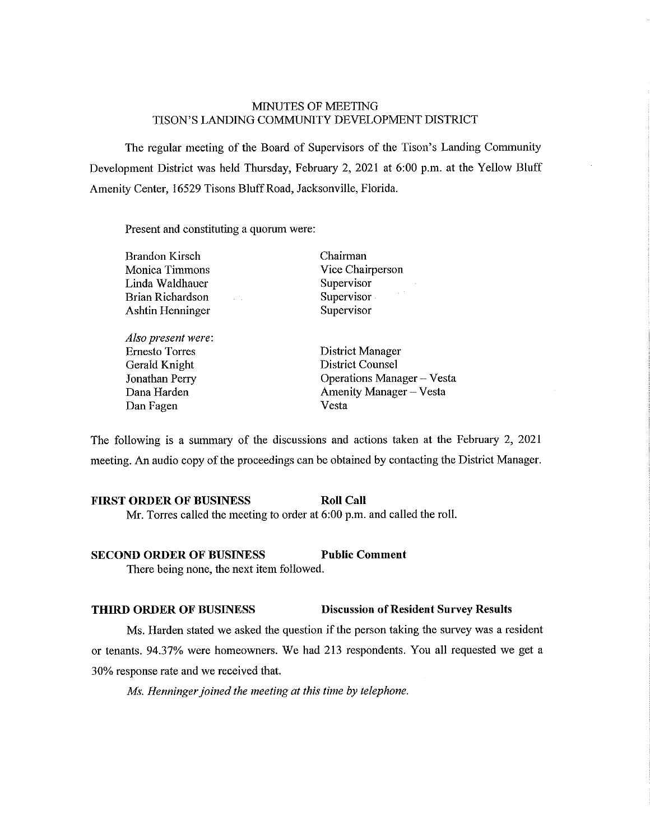# MINUTES OF MEETING TISON'S LANDING COMMUNITY DEVELOPMENT DISTRlCT

The regular meeting of the Board of Supervisors of the Tison's Landing Community Development District was held Thursday, February 2, 2021 at 6:00 p.m. at the Yellow Bluff Amenity Center, 16529 Tisons Bluff Road, Jacksonville, Florida.

Present and constituting a quorum were:

| <b>Brandon Kirsch</b> |     |  |
|-----------------------|-----|--|
| Monica Timmons        |     |  |
| Linda Waldhauer       |     |  |
| Brian Richardson      | a C |  |
| Ashtin Henninger      |     |  |
|                       |     |  |

*Also present were:*  Ernesto Torres Gerald Knight Jonathan Perry Dana Harden Dan Fagen

Chairman Vice Chairperson Supervisor Supervisor Supervisor

District Manager District Counsel Operations Manager - Vesta Amenity Manager - Vesta Vesta

The following is a summary of the discussions and actions taken at the February 2, 2021 meeting. An audio copy of the proceedings can be obtained by contacting the District Manager.

# **FIRST ORDER OF BUSINESS Roll Call**

Mr. Torres called the meeting to order at 6:00 p.m. and called the roll.

# **SECOND ORDER OF BUSINESS Public Comment**

There being none, the next item followed.

# **THIRD ORDER OF BUSINESS Discussion of Resident Survey Results**

Ms. Harden stated we asked the question if the person taking the survey was a resident or tenants. 94.37% were homeowners. We had 213 respondents. You all requested we get a 30% response rate and we received that.

*Ms. Henninger joined the meeting at this time by telephone.*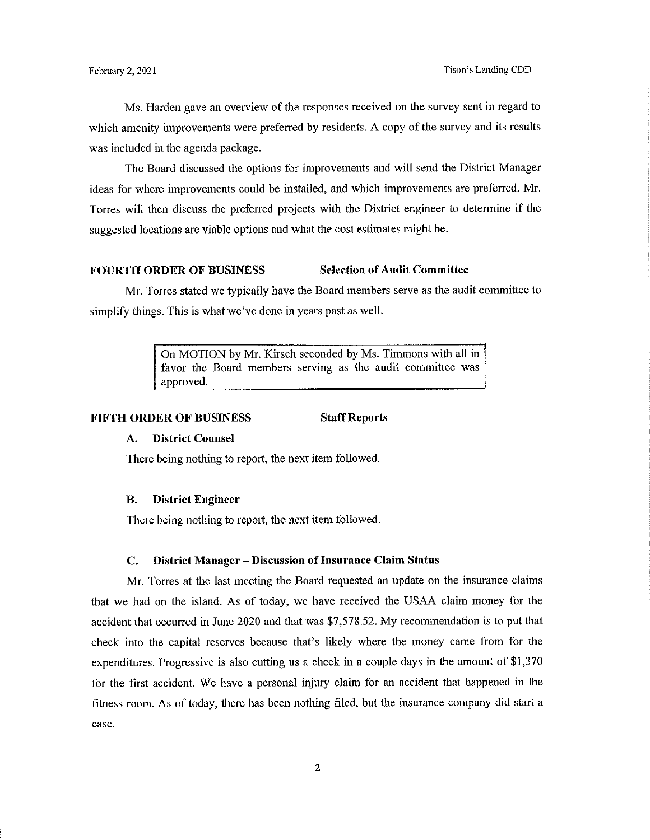Ms. Harden gave an overview of the responses received on the survey sent in regard to which amenity improvements were preferred by residents. A copy of the survey and its results was included in the agenda package.

The Board discussed the options for improvements and will send the District Manager ideas for where improvements could be installed, and which improvements are preferred. Mr. Torres will then discuss the preferred projects with the District engineer to determine if the suggested locations are viable options and what the cost estimates might be.

# **FOURTH ORDER OF BUSINESS Selection of Audit Committee**

Mr. Torres stated we typically have the Board members serve as the audit committee to simplify things. This is what we've done in years past as well.

> On MOTION by Mr. Kirsch seconded by Ms. Timmons with all in favor the Board members serving as the audit committee was approved.

#### **FIFTH ORDER OF BUSINESS Staff Reports**

# **A. District Counsel**

There being nothing to report, the next item followed.

#### **B. District Engineer**

There being nothing to report, the next item followed.

#### **C. District Manager - Discussion oflnsurance Claim Status**

Mr. Torres at the last meeting the Board requested an update on the insurance claims that we had on the island. As of today, we have received the USAA claim money for the accident that occurred in June 2020 and that was \$7,578.52. My recommendation is to put that check into the capital reserves because that's likely where the money came from for the expenditures. Progressive is also cutting us a check in a couple days in the amount of \$1,370 for the first accident. We have a personal injury claim for an accident that happened in the fitness room. As of today, there has been nothing filed, but the insurance company did start a case.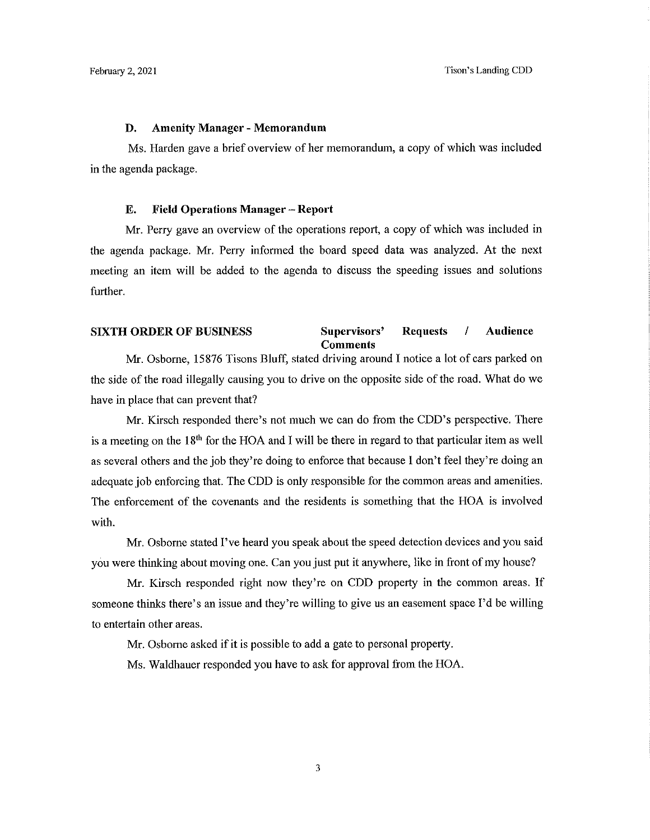## **D. Amenity Manager - Memorandum**

Ms. Harden gave a brief overview of her memorandum, a copy of which was included in the agenda package.

# **E. Field Operations Manager - Report**

Mr. Perry gave an overview of the operations report, a copy of which was included in the agenda package. Mr. Perry infonned the board speed data was analyzed. At the next meeting an item will be added to the agenda to discuss the speeding issues and solutions further.

# **SIXTH ORDER OF BUSINESS Supervisors' Requests / Audience Comments**

Mr. Osborne, 15876 Tisons Bluff, stated driving around I notice a lot of cars parked on the side of the road illegally causing you to drive on the opposite side of the road. What do we have in place that can prevent that?

Mr. Kirsch responded there's not much we can do from the CDD's perspective. There is a meeting on the  $18<sup>th</sup>$  for the HOA and I will be there in regard to that particular item as well as several others and the job they're doing to enforce that because I don't feel they're doing an adequate job enforcing that. The CDD is only responsible for the common areas and amenities. The enforcement of the covenants and the residents is something that the HOA is involved with.

Mr. Osborne stated I've heard you speak about the speed detection devices and you said you were thinking about moving one. Can you just put it anywhere, like in front of my house?

Mr. Kirsch responded right now they're on CDD property in the common areas. If someone thinks there's an issue and they're willing to give us an easement space I'd be willing to entertain other areas.

Mr. Osborne asked if it is possible to add a gate to personal property.

Ms. Waldbauer responded you have to ask for approval from the HOA.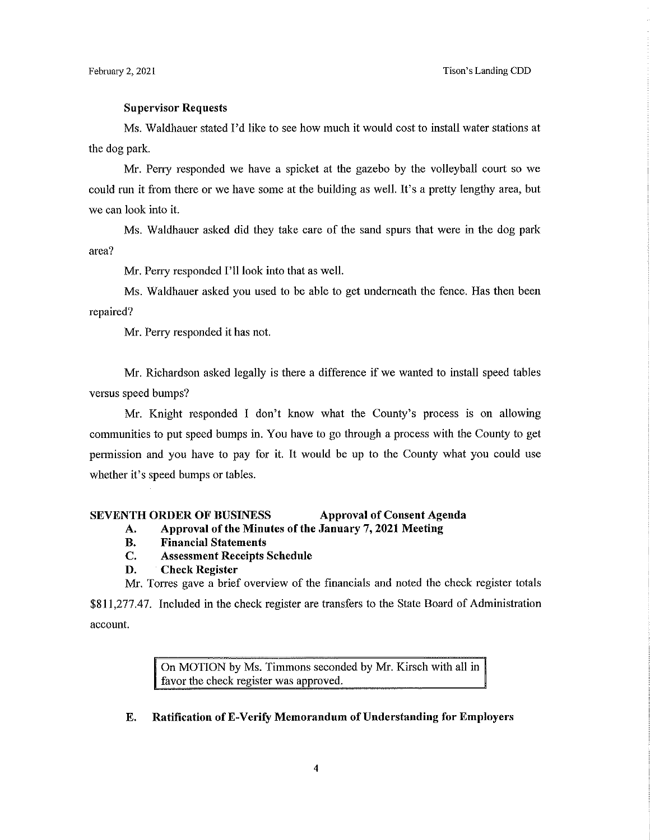#### **Supervisor Requests**

Ms. Waldhauer stated I'd like to see how much it would cost to install water stations at the dog park.

Mr. Perry responded we have a spicket at the gazebo by the volleyball court so we could tun it from there or we have some at the building as well. It's a pretty lengthy area, but we can look into it.

Ms. Waldhauer asked did they take care of the sand spurs that were in the dog park area?

Mr. Perry responded I'll look into that as well.

Ms. Waldhauer asked you used to be able to get underneath the fence. Has then been repaired?

Mr. Perry responded it has not.

Mr. Richardson asked legally is there a difference if we wanted to install speed tables versus speed bumps?

Mr. Knight responded I don't know what the County's process is on allowing communities to put speed bumps in. You have to go through a process with the County to get pennission and you have to pay for it. It would be up to the County what you could use whether it's speed bumps or tables.

#### **SEVENTH ORDER OF BUSINESS Approval of Consent Agenda**

## **A. Approval of the Minutes of the January 7, 2021 Meeting**

- **B. Financial Statements**
- **C. Assessment Receipts Schedule**

### **D. Check Register**

Mr. Torres gave a brief overview of the financials and noted the check register totals

\$811,277.47. Included in the check register are transfers to the State Board of Administration account.

> On MOTION by Ms. Timmons seconded by Mr. Kirsch with all in favor the check register was approved.

#### **E. Ratification ofE-Verify Memorandum of Understanding for Employers**